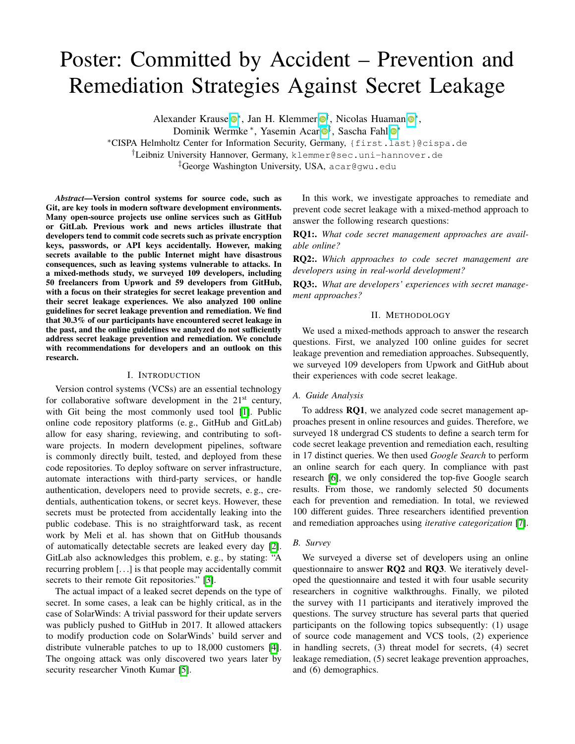# Poster: Committed by Accident – Prevention and Remediation Strategies Against Secret Leakage

Alexander Krause<sup>®\*</sup>, Jan H. Klemmer<sup>®[†](https://orcid.org/0000-0002-6994-7206)</sup>, Nicolas Huaman<sup>®\*</sup>,

Dominik Wermke<sup>\*</sup>, Yasemin Acar<sup>o[‡](https://orcid.org/0000-0001-7167-7383)</sup>, Sascha Fahl<sup>o\*</sup>

⇤CISPA Helmholtz Center for Information Security, Germany, {first.last}@cispa.de

*†*Leibniz University Hannover, Germany, klemmer@sec.uni-hannover.de

*‡*George Washington University, USA, acar@gwu.edu

*Abstract*—Version control systems for source code, such as Git, are key tools in modern software development environments. Many open-source projects use online services such as GitHub or GitLab. Previous work and news articles illustrate that developers tend to commit code secrets such as private encryption keys, passwords, or API keys accidentally. However, making secrets available to the public Internet might have disastrous consequences, such as leaving systems vulnerable to attacks. In a mixed-methods study, we surveyed 109 developers, including 50 freelancers from Upwork and 59 developers from GitHub, with a focus on their strategies for secret leakage prevention and their secret leakage experiences. We also analyzed 100 online guidelines for secret leakage prevention and remediation. We find that 30.3% of our participants have encountered secret leakage in the past, and the online guidelines we analyzed do not sufficiently address secret leakage prevention and remediation. We conclude with recommendations for developers and an outlook on this research.

### I. INTRODUCTION

Version control systems (VCSs) are an essential technology for collaborative software development in the  $21<sup>st</sup>$  century, with Git being the most commonly used tool  $\|\mathbf{l}\|$ . Public online code repository platforms (e. g., GitHub and GitLab) allow for easy sharing, reviewing, and contributing to software projects. In modern development pipelines, software is commonly directly built, tested, and deployed from these code repositories. To deploy software on server infrastructure, automate interactions with third-party services, or handle authentication, developers need to provide secrets, e. g., credentials, authentication tokens, or secret keys. However, these secrets must be protected from accidentally leaking into the public codebase. This is no straightforward task, as recent work by Meli et al. has shown that on GitHub thousands of automatically detectable secrets are leaked every day  $[2]$ . GitLab also acknowledges this problem, e. g., by stating: "A recurring problem [. . .] is that people may accidentally commit secrets to their remote Git repositories." [\[3\]](#page-1-2).

The actual impact of a leaked secret depends on the type of secret. In some cases, a leak can be highly critical, as in the case of SolarWinds: A trivial password for their update servers was publicly pushed to GitHub in 2017. It allowed attackers to modify production code on SolarWinds' build server and distribute vulnerable patches to up to  $18,000$  customers  $[4]$ . The ongoing attack was only discovered two years later by security researcher Vinoth Kumar [\[5\]](#page-1-4).

In this work, we investigate approaches to remediate and prevent code secret leakage with a mixed-method approach to answer the following research questions:

RQ1:. *What code secret management approaches are available online?*

RQ2:. *Which approaches to code secret management are developers using in real-world development?*

RQ3:. *What are developers' experiences with secret management approaches?*

## II. METHODOLOGY

We used a mixed-methods approach to answer the research questions. First, we analyzed 100 online guides for secret leakage prevention and remediation approaches. Subsequently, we surveyed 109 developers from Upwork and GitHub about their experiences with code secret leakage.

# *A. Guide Analysis*

To address RQ1, we analyzed code secret management approaches present in online resources and guides. Therefore, we surveyed 18 undergrad CS students to define a search term for code secret leakage prevention and remediation each, resulting in 17 distinct queries. We then used *Google Search* to perform an online search for each query. In compliance with past research [\[6\]](#page-1-5), we only considered the top-five Google search results. From those, we randomly selected 50 documents each for prevention and remediation. In total, we reviewed 100 different guides. Three researchers identified prevention and remediation approaches using *iterative categorization* [\[7\]](#page-1-6).

# *B. Survey*

We surveyed a diverse set of developers using an online questionnaire to answer RQ2 and RQ3. We iteratively developed the questionnaire and tested it with four usable security researchers in cognitive walkthroughs. Finally, we piloted the survey with 11 participants and iteratively improved the questions. The survey structure has several parts that queried participants on the following topics subsequently: (1) usage of source code management and VCS tools, (2) experience in handling secrets, (3) threat model for secrets, (4) secret leakage remediation, (5) secret leakage prevention approaches, and (6) demographics.